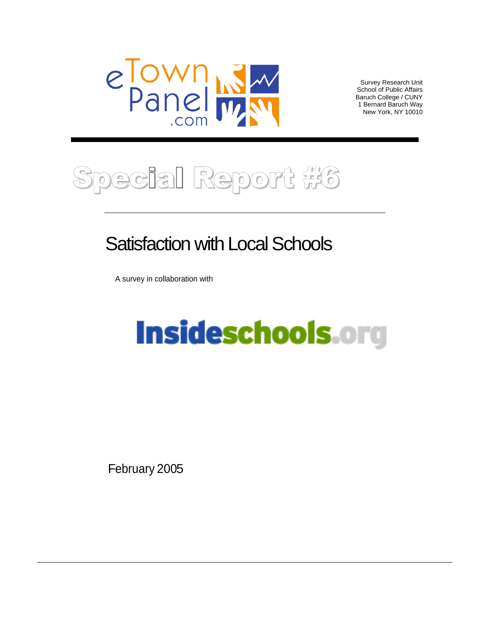

Survey Research Unit<br>School of Public Affairs School of Public Affairs Baruch College / CUNY 1 Bernard Baruch Way New York, NY 10010

## ecial Report #6  $\sigma$

## Satisfaction with Local Schools

A survey in collaboration with

# Insideschools.org

February 2005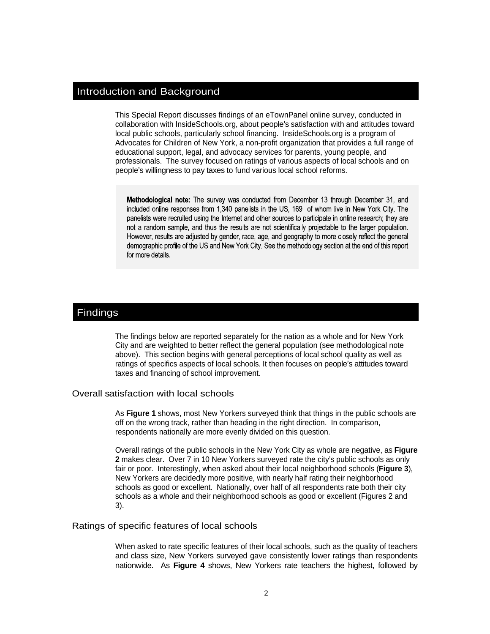#### Introduction and Background

This Special Report discusses findings of an eTownPanel online survey, conducted in collaboration with InsideSchools.org, about people's satisfaction with and attitudes toward local public schools, particularly school financing. InsideSchools.org is a program of Advocates for Children of New York, a non-profit organization that provides a full range of educational support, legal, and advocacy services for parents, young people, and professionals. The survey focused on ratings of various aspects of local schools and on

people's willingness to pay taxes to fund various local school reforms.<br> **Methodological note:** The survey was conducted from December 13 through December 31, and<br>
included online responses from 1,340 panelists in the US,

The findings below are reported separately for the nation as a whole and for New York City and are weighted to better reflect the general population (see methodological note above). This section begins with general perceptions of local school quality as well as ratings of specifics aspects of local schools. It then focuses on people's attitudes toward taxes and financing of school improvement.

#### Overall satisfaction with local schools

As **Figure 1** shows, most New Yorkers surveyed think that things in the public schools are off on the wrong track, rather than heading in the right direction. In comparison, respondents nationally are more evenly divided on this question.

Overall ratings of the public schools in the New York City as whole are negative, as **Figure 2** makes clear. Over 7 in 10 New Yorkers surveyed rate the city's public schools as only fair or poor. Interestingly, when asked about their local neighborhood schools (**Figure 3**), New Yorkers are decidedly more positive, with nearly half rating their neighborhood schools as good or excellent. Nationally, over half of all respondents rate both their city schools as a whole and their neighborhood schools as good or excellent (Figures 2 and  $3$ ).

#### Ratings of specific features of local schools

When asked to rate specific features of their local schools, such as the quality of teachers and class size, New Yorkers surveyed gave consistently lower ratings than respondents nationwide. As **Figure 4** shows, New Yorkers rate teachers the highest, followed by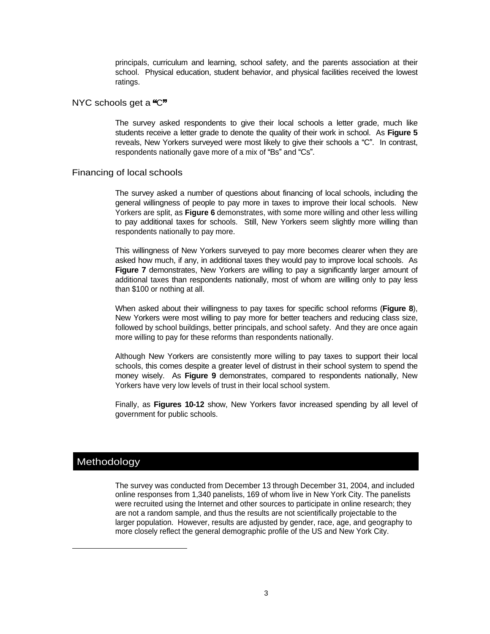principals, curriculum and learning, school safety, and the parents association at their school. Physical education, student behavior, and physical facilities received the lowest ratings. The contract of the contract of the contract of the contract of the contract of the contract of the contract of the contract of the contract of the contract of the contract of the contract of the contract of the c

#### NYC schools get a "C" state of the contract of the contract of the contract of the contract of the contract of the contract of the contract of the contract of the contract of the contract of the contract of the contract of

The survey asked respondents to give their local schools a letter grade, much like students receive a letter grade to denote the quality of their work in school. As **Figure 5** reveals, New Yorkers surveyed were most likely to give their schools a "C". In contrast, respondents nationally gave more of a mix of "Bs" and "Cs".

#### Financing of local schools

The survey asked a number of questions about financing of local schools, including the general willingness of people to pay more in taxes to improve their local schools. New Yorkers are split, as **Figure 6** demonstrates, with some more willing and other less willing to pay additional taxes for schools. Still, New Yorkers seem slightly more willing than respondents nationally to pay more.

This willingness of New Yorkers surveyed to pay more becomes clearer when they are asked how much, if any, in additional taxes they would pay to improve local schools. As **Figure 7** demonstrates, New Yorkers are willing to pay a significantly larger amount of additional taxes than respondents nationally, most of whom are willing only to pay less than \$100 or nothing at all.

When asked about their willingness to pay taxes for specific school reforms (**Figure 8**), New Yorkers were most willing to pay more for better teachers and reducing class size, followed by school buildings, better principals, and school safety. And they are once again more willing to pay for these reforms than respondents nationally.

Although New Yorkers are consistently more willing to pay taxes to support their local schools, this comes despite a greater level of distrust in their school system to spend the money wisely. As **Figure 9** demonstrates, compared to respondents nationally, New Yorkers have very low levels of trust in their local school system.

Finally, as **Figures 10-12** show, New Yorkers favor increased spending by all level of government for public schools.

#### Methodology

l

The survey was conducted from December 13 through December 31, 2004, and included online responses from 1,340 panelists, 169 of whom live in New York City. The panelists were recruited using the Internet and other sources to participate in online research; they are not a random sample, and thus the results are not scientifically projectable to the larger population. However, results are adjusted by gender, race, age, and geography to more closely reflect the general demographic profile of the US and New York City.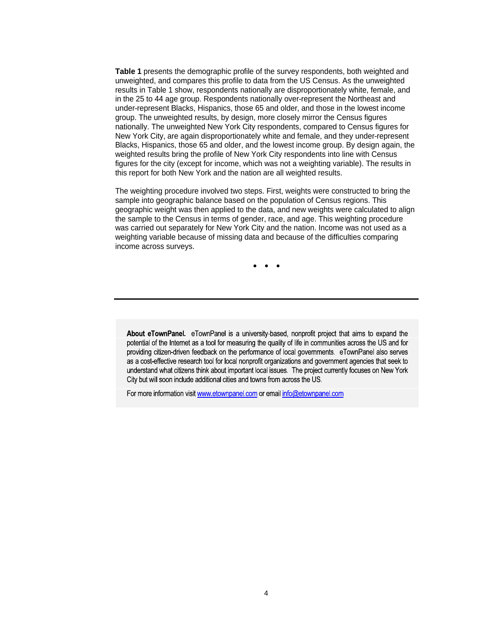**Table 1** presents the demographic profile of the survey respondents, both weighted and unweighted, and compares this profile to data from the US Census. As the unweighted results in Table 1 show, respondents nationally are disproportionately white, female, and in the 25 to 44 age group. Respondents nationally over-represent the Northeast and under-represent Blacks, Hispanics, those 65 and older, and those in the lowest income group. The unweighted results, by design, more closely mirror the Census figures nationally. The unweighted New York City respondents, compared to Census figures for New York City, are again disproportionately white and female, and they under-represent Blacks, Hispanics, those 65 and older, and the lowest income group. By design again, the weighted results bring the profile of New York City respondents into line with Census figures for the city (except for income, which was not a weighting variable). The results in this report for both New York and the nation are all weighted results.

The weighting procedure involved two steps. First, weights were constructed to bring the sample into geographic balance based on the population of Census regions. This geographic weight was then applied to the data, and new weights were calculated to align the sample to the Census in terms of gender, race, and age. This weighting procedure was carried out separately for New York City and the nation. Income was not used as a weighting variable because of missing data and because of the difficulties comparing income across surveys.

About eTownPanel. eTownPanel is a university-based, nonprofit project that aims to expand the potential of the Internet as a tool for measuring the quality of life in communities across the US and for providing citizen-driven feedback on the performance of local governments. eTownPanel also serves as a cost-effective research tool for local nonprofit organizations and government agencies that seek to understand what citizens think about important local issues. The project currently focuses on New York City but will soon include additional cities and towns from across the US.

For more information visit www.etownpanel.com or email info@etownpanel.com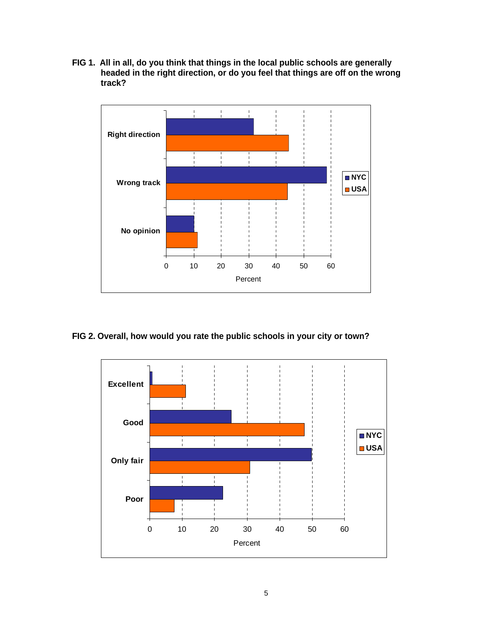**FIG 1. All in all, do you think that things in the local public schools are generally headed in the right direction, or do you feel that things are off on the wrong track?**



#### **FIG 2. Overall, how would you rate the public schools in your city or town?**

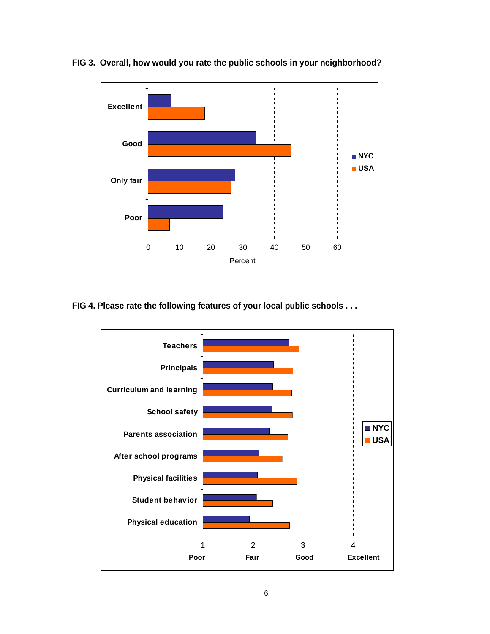

**FIG 3. Overall, how would you rate the public schools in your neighborhood?**

### **FIG 4. Please rate the following features of your local public schools . . .**

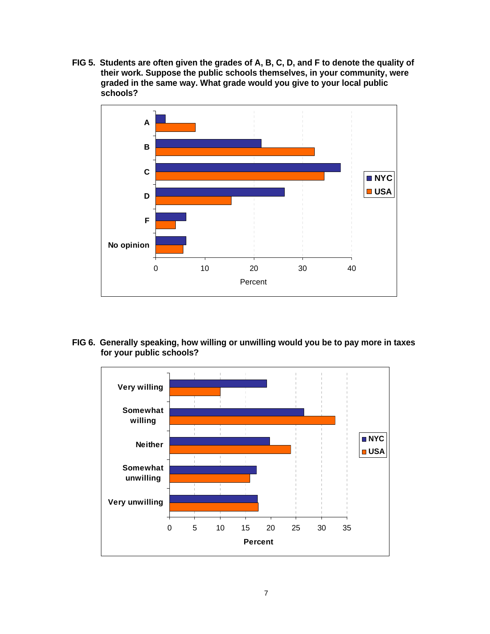**FIG 5. Students are often given the grades of A, B, C, D, and F to denote the quality of their work. Suppose the public schools themselves, in your community, were graded in the same way. What grade would you give to your local public schools?**



**FIG 6. Generally speaking, how willing or unwilling would you be to pay more in taxes for your public schools?**

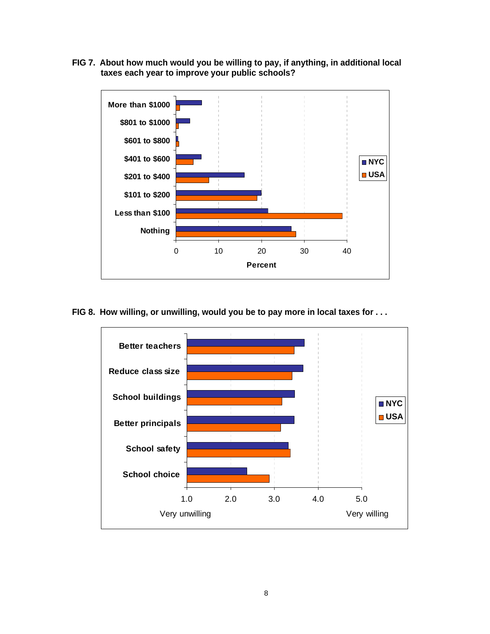**FIG 7. About how much would you be willing to pay, if anything, in additional local taxes each year to improve your public schools?**



**FIG 8. How willing, or unwilling, would you be to pay more in local taxes for . . .**

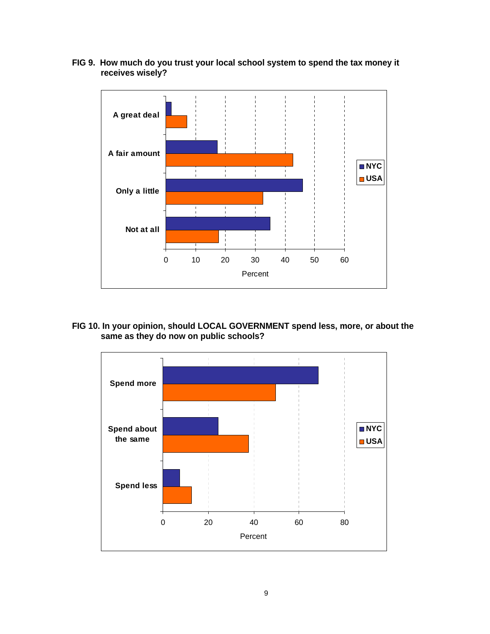

**FIG 9. How much do you trust your local school system to spend the tax money it receives wisely?**

**FIG 10. In your opinion, should LOCAL GOVERNMENT spend less, more, or about the same as they do now on public schools?**

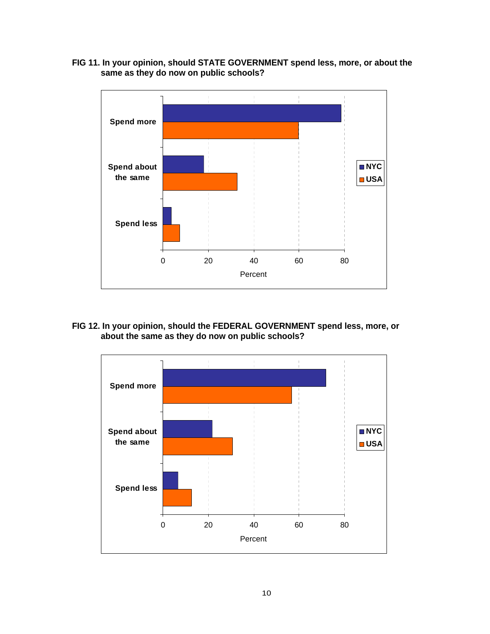

**FIG 11. In your opinion, should STATE GOVERNMENT spend less, more, or about the same as they do now on public schools?**

**FIG 12. In your opinion, should the FEDERAL GOVERNMENT spend less, more, or about the same as they do now on public schools?**